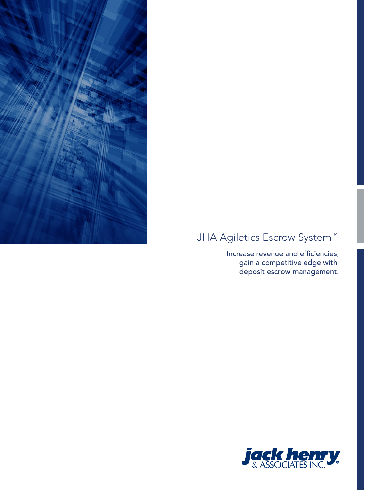

# JHA Agiletics Escrow System<sup>™</sup>

Increase revenue and efficiencies, gain a competitive edge with deposit escrow management.